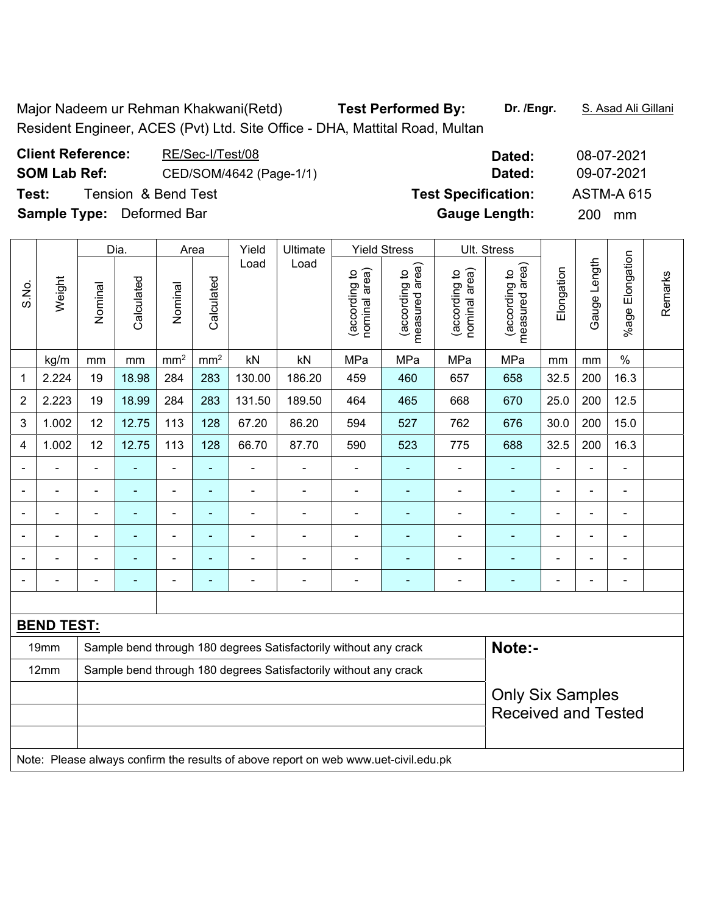Major Nadeem ur Rehman Khakwani(Retd) **Test Performed By:** Dr. /Engr. S. Asad Ali Gillani Resident Engineer, ACES (Pvt) Ltd. Site Office - DHA, Mattital Road, Multan

| <b>Client Reference:</b>         | RE/Sec-I/Test/08        | Dated:                     | 08-07-2021        |
|----------------------------------|-------------------------|----------------------------|-------------------|
| <b>SOM Lab Ref:</b>              | CED/SOM/4642 (Page-1/1) | Dated:                     | 09-07-2021        |
| Tension & Bend Test<br>Test:     |                         | <b>Test Specification:</b> | <b>ASTM-A 615</b> |
| <b>Sample Type:</b> Deformed Bar |                         | <b>Gauge Length:</b>       | 200 mm            |

|                |                   |                                                                  | Dia.           |                 | Area                     | Yield          | Ultimate                                                                            |                                | <b>Yield Stress</b>               |                                | Ult. Stress                                           |                |              |                          |         |
|----------------|-------------------|------------------------------------------------------------------|----------------|-----------------|--------------------------|----------------|-------------------------------------------------------------------------------------|--------------------------------|-----------------------------------|--------------------------------|-------------------------------------------------------|----------------|--------------|--------------------------|---------|
| S.No.          | Weight            | Nominal                                                          | Calculated     | Nominal         | Calculated               | Load           | Load                                                                                | nominal area)<br>(according to | (according to  <br>measured area) | nominal area)<br>(according to | measured area)<br>(according to                       | Elongation     | Gauge Length | Elongation<br>%age I     | Remarks |
|                | kg/m              | mm                                                               | mm             | mm <sup>2</sup> | mm <sup>2</sup>          | kN             | kN                                                                                  | MPa                            | MPa                               | MPa                            | MPa                                                   | mm             | mm           | $\frac{0}{0}$            |         |
| 1              | 2.224             | 19                                                               | 18.98          | 284             | 283                      | 130.00         | 186.20                                                                              | 459                            | 460                               | 657                            | 658                                                   | 32.5           | 200          | 16.3                     |         |
| $\overline{2}$ | 2.223             | 19                                                               | 18.99          | 284             | 283                      | 131.50         | 189.50                                                                              | 464                            | 465                               | 668                            | 670                                                   | 25.0           | 200          | 12.5                     |         |
| 3              | 1.002             | 12                                                               | 12.75          | 113             | 128                      | 67.20          | 86.20                                                                               | 594                            | 527                               | 762                            | 676                                                   | 30.0           | 200          | 15.0                     |         |
| 4              | 1.002             | 12                                                               | 12.75          | 113             | 128                      | 66.70          | 87.70                                                                               | 590                            | 523                               | 775                            | 688                                                   | 32.5           | 200          | 16.3                     |         |
|                |                   | $\blacksquare$                                                   | ä,             | $\blacksquare$  | ä,                       | $\blacksquare$ | ä,                                                                                  | $\blacksquare$                 | $\blacksquare$                    | $\blacksquare$                 | $\blacksquare$                                        | $\blacksquare$ | Ĭ.           | $\blacksquare$           |         |
|                | $\blacksquare$    | $\blacksquare$                                                   | $\blacksquare$ | ÷,              | $\blacksquare$           | $\blacksquare$ | ÷                                                                                   | $\blacksquare$                 | $\blacksquare$                    | ÷                              | $\blacksquare$                                        | $\blacksquare$ | ÷,           | $\blacksquare$           |         |
|                | $\blacksquare$    | $\blacksquare$                                                   | ä,             | $\blacksquare$  | $\blacksquare$           | $\blacksquare$ | $\blacksquare$                                                                      | $\blacksquare$                 | $\blacksquare$                    | ÷,                             | $\blacksquare$                                        | $\blacksquare$ |              | $\blacksquare$           |         |
|                |                   | $\blacksquare$                                                   |                |                 | $\blacksquare$           |                |                                                                                     |                                | ۰                                 | $\blacksquare$                 |                                                       |                |              |                          |         |
|                |                   |                                                                  |                | ÷               | $\overline{\phantom{a}}$ |                |                                                                                     |                                | ۰                                 | ۰                              |                                                       |                |              | ٠                        |         |
|                |                   |                                                                  | $\blacksquare$ |                 | ٠                        | $\blacksquare$ | $\blacksquare$                                                                      | $\overline{a}$                 | ۰                                 | $\overline{a}$                 | ۰                                                     | $\blacksquare$ |              | $\overline{\phantom{a}}$ |         |
|                |                   |                                                                  |                |                 |                          |                |                                                                                     |                                |                                   |                                |                                                       |                |              |                          |         |
|                | <b>BEND TEST:</b> |                                                                  |                |                 |                          |                |                                                                                     |                                |                                   |                                |                                                       |                |              |                          |         |
|                | 19mm              |                                                                  |                |                 |                          |                | Sample bend through 180 degrees Satisfactorily without any crack                    |                                |                                   |                                | Note:-                                                |                |              |                          |         |
|                | 12mm              | Sample bend through 180 degrees Satisfactorily without any crack |                |                 |                          |                |                                                                                     |                                |                                   |                                |                                                       |                |              |                          |         |
|                |                   |                                                                  |                |                 |                          |                |                                                                                     |                                |                                   |                                | <b>Only Six Samples</b><br><b>Received and Tested</b> |                |              |                          |         |
|                |                   |                                                                  |                |                 |                          |                |                                                                                     |                                |                                   |                                |                                                       |                |              |                          |         |
|                |                   |                                                                  |                |                 |                          |                | Note: Please always confirm the results of above report on web www.uet-civil.edu.pk |                                |                                   |                                |                                                       |                |              |                          |         |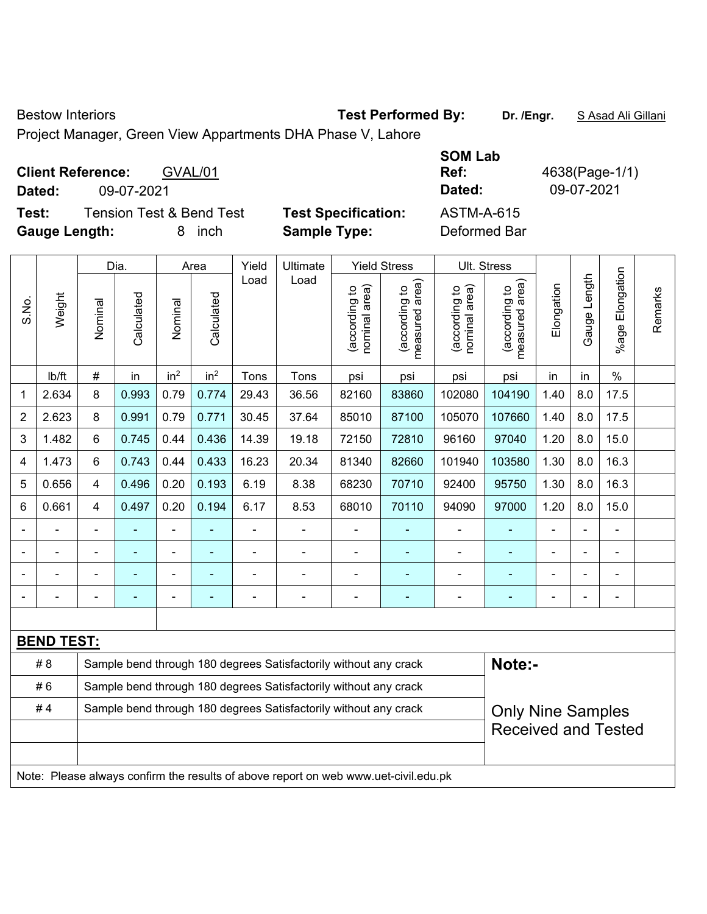Bestow Interiors **Test Performed By:** Dr. /Engr. **SAsad Ali Gillani** Bestow Interiors

Project Manager, Green View Appartments DHA Phase V, Lahore

| <b>Client Reference:</b><br>GVAL/01<br>09-07-2021<br>Dated:                              |                                                   | <b>SOM Lab</b><br>Ref:<br>Dated:  | 4638(Page-1/1)<br>09-07-2021 |
|------------------------------------------------------------------------------------------|---------------------------------------------------|-----------------------------------|------------------------------|
| <b>Tension Test &amp; Bend Test</b><br>Test:<br><b>Gauge Length:</b><br><i>inch</i><br>8 | <b>Test Specification:</b><br><b>Sample Type:</b> | <b>ASTM-A-615</b><br>Deformed Bar |                              |

|                |                   |                                                                                              | Dia.           |                 | Area            | Yield | Ultimate                                                                            |                                | <b>Yield Stress</b>             |                                | Ult. Stress                                 |                |              |                    |         |
|----------------|-------------------|----------------------------------------------------------------------------------------------|----------------|-----------------|-----------------|-------|-------------------------------------------------------------------------------------|--------------------------------|---------------------------------|--------------------------------|---------------------------------------------|----------------|--------------|--------------------|---------|
| S.No.          | Weight            | Nominal                                                                                      | Calculated     | Nominal         | Calculated      | Load  | Load                                                                                | nominal area)<br>(according to | measured area)<br>(according to | nominal area)<br>(according to | (according to<br>measured area)<br>measured | Elongation     | Gauge Length | Elongation<br>%age | Remarks |
|                | Ib/ft             | #                                                                                            | in             | in <sup>2</sup> | in <sup>2</sup> | Tons  | Tons                                                                                | psi                            | psi                             | psi                            | psi                                         | in             | in           | $\%$               |         |
| 1              | 2.634             | 8                                                                                            | 0.993          | 0.79            | 0.774           | 29.43 | 36.56                                                                               | 82160                          | 83860                           | 102080                         | 104190                                      | 1.40           | 8.0          | 17.5               |         |
| 2              | 2.623             | 8                                                                                            | 0.991          | 0.79            | 0.771           | 30.45 | 37.64                                                                               | 85010                          | 87100                           | 105070                         | 107660                                      | 1.40           | 8.0          | 17.5               |         |
| 3              | 1.482             | 6                                                                                            | 0.745          | 0.44            | 0.436           | 14.39 | 19.18                                                                               | 72150                          | 72810                           | 96160                          | 97040                                       | 1.20           | 8.0          | 15.0               |         |
| $\overline{4}$ | 1.473             | 6                                                                                            | 0.743          | 0.44            | 0.433           | 16.23 | 20.34                                                                               | 81340                          | 82660                           | 101940                         | 103580                                      | 1.30           | 8.0          | 16.3               |         |
| 5              | 0.656             | $\overline{4}$                                                                               | 0.496          | 0.20            | 0.193           | 6.19  | 8.38                                                                                | 68230                          | 70710                           | 92400                          | 95750                                       | 1.30           | 8.0          | 16.3               |         |
| $\,6$          | 0.661             | $\overline{4}$                                                                               | 0.497          | 0.20            | 0.194           | 6.17  | 8.53                                                                                | 68010                          | 70110                           | 94090                          | 97000                                       | 1.20           | 8.0          | 15.0               |         |
|                |                   |                                                                                              |                |                 |                 |       | ÷                                                                                   |                                |                                 | $\blacksquare$                 | ä,                                          |                |              | L,                 |         |
|                |                   |                                                                                              |                | $\blacksquare$  |                 |       |                                                                                     |                                |                                 |                                |                                             |                |              | $\blacksquare$     |         |
|                |                   |                                                                                              | -              | $\overline{a}$  |                 |       |                                                                                     | $\blacksquare$                 | ۰                               | $\blacksquare$                 | ۰                                           |                |              |                    |         |
|                |                   |                                                                                              | $\blacksquare$ | ÷,              |                 | ÷     | ä,                                                                                  | $\blacksquare$                 | $\blacksquare$                  | $\overline{\phantom{a}}$       | ÷,                                          | $\blacksquare$ |              | $\blacksquare$     |         |
|                |                   |                                                                                              |                |                 |                 |       |                                                                                     |                                |                                 |                                |                                             |                |              |                    |         |
|                | <b>BEND TEST:</b> |                                                                                              |                |                 |                 |       |                                                                                     |                                |                                 |                                |                                             |                |              |                    |         |
|                | #8                |                                                                                              |                |                 |                 |       | Sample bend through 180 degrees Satisfactorily without any crack                    |                                |                                 |                                | Note:-                                      |                |              |                    |         |
|                | #6                |                                                                                              |                |                 |                 |       | Sample bend through 180 degrees Satisfactorily without any crack                    |                                |                                 |                                |                                             |                |              |                    |         |
|                | #4                | Sample bend through 180 degrees Satisfactorily without any crack<br><b>Only Nine Samples</b> |                |                 |                 |       |                                                                                     |                                |                                 |                                |                                             |                |              |                    |         |
|                |                   |                                                                                              |                |                 |                 |       |                                                                                     |                                |                                 |                                | <b>Received and Tested</b>                  |                |              |                    |         |
|                |                   |                                                                                              |                |                 |                 |       |                                                                                     |                                |                                 |                                |                                             |                |              |                    |         |
|                |                   |                                                                                              |                |                 |                 |       | Note: Please always confirm the results of above report on web www.uet-civil.edu.pk |                                |                                 |                                |                                             |                |              |                    |         |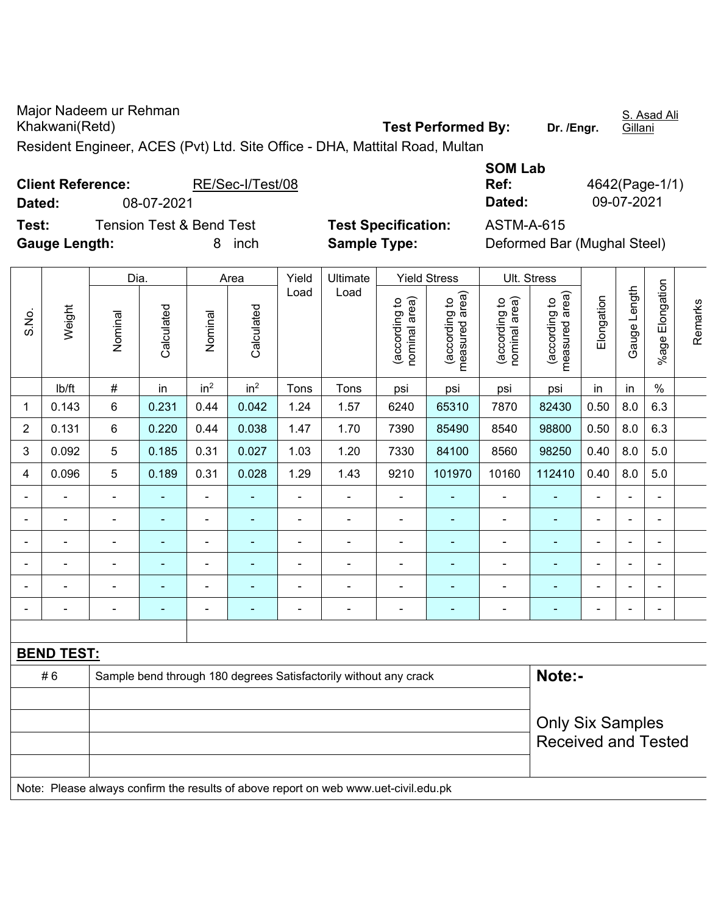Major Nadeem ur Rehman Khakwani(Retd) **Test Performed By: Dr. /Engr.**  S. Asad Ali **Gillani** Resident Engineer, ACES (Pvt) Ltd. Site Office - DHA, Mattital Road, Multan

| <b>Client Reference:</b><br>08-07-2021<br>Dated:<br><b>Tension Test &amp; Bend Test</b> |                      |                 |            | RE/Sec-I/Test/08<br><b>Test Specification:</b> |                    |               |                     |                                   |                                                             | <b>SOM Lab</b><br>Ref:<br>Dated:    |                                                             |            | 09-07-2021     | 4642(Page-1/1)        |         |
|-----------------------------------------------------------------------------------------|----------------------|-----------------|------------|------------------------------------------------|--------------------|---------------|---------------------|-----------------------------------|-------------------------------------------------------------|-------------------------------------|-------------------------------------------------------------|------------|----------------|-----------------------|---------|
| Test:                                                                                   | <b>Gauge Length:</b> |                 |            | 8                                              | inch               |               | <b>Sample Type:</b> |                                   |                                                             | <b>ASTM-A-615</b>                   | Deformed Bar (Mughal Steel)                                 |            |                |                       |         |
| S.No.                                                                                   | Weight               | Dia.<br>Nominal | Calculated | Nominal                                        | Area<br>Calculated | Yield<br>Load | Ultimate<br>Load    | area)<br>(according to<br>nominal | <b>Yield Stress</b><br>area)<br>ೆ<br>(according<br>measured | area)<br>ೆ<br>(according<br>nominal | Ult. Stress<br>rea)<br>유<br>(according<br>ᡕᢐ<br>asured<br>Ĕ | Elongation | ength<br>Gauge | Elongation<br>$%$ age | Remarks |
|                                                                                         | lb/ft                | #               | in         | in <sup>2</sup>                                | in <sup>2</sup>    | Tons          | Tons                | psi                               | psi                                                         | psi                                 | psi                                                         | in         | in             | %                     |         |
| 1                                                                                       | 0.143                | 6               | 0.231      | 0.44                                           | 0.042              | 1.24          | 1.57                | 6240                              | 65310                                                       | 7870                                | 82430                                                       | 0.50       | 8.0            | 6.3                   |         |
| $\overline{2}$                                                                          | 0.131                | 6               | 0.220      | 0.44                                           | 0.038              | 1.47          | 1.70                | 7390                              | 85490                                                       | 8540                                | 98800                                                       | 0.50       | 8.0            | 6.3                   |         |

| 3              | 0.092 | $5\phantom{.0}$          | 0.185                    | 0.31                     | 0.027 | 1.03 | 1.20 | 7330 | 84100  | 8560           | 98250  | 0.40                     | 8.0                      | 5.0 |  |
|----------------|-------|--------------------------|--------------------------|--------------------------|-------|------|------|------|--------|----------------|--------|--------------------------|--------------------------|-----|--|
| $\overline{4}$ | 0.096 | $\sqrt{5}$               | 0.189                    | 0.31                     | 0.028 | 1.29 | 1.43 | 9210 | 101970 | 10160          | 112410 | 0.40                     | 8.0                      | 5.0 |  |
|                |       | $\blacksquare$           | $\overline{\phantom{0}}$ | -                        |       | -    | -    |      |        | $\blacksquare$ |        | $\overline{\phantom{a}}$ | -                        | -   |  |
|                |       | $\overline{\phantom{a}}$ | $\overline{\phantom{0}}$ | $\overline{\phantom{0}}$ |       | -    |      |      |        | -              |        | $\overline{\phantom{a}}$ | $\overline{\phantom{0}}$ | -   |  |
|                |       | $\blacksquare$           | $\overline{\phantom{0}}$ |                          |       |      |      |      |        |                |        | -                        | ۰                        |     |  |
|                |       |                          |                          |                          |       |      |      |      |        |                |        |                          | -                        |     |  |
|                |       | $\overline{\phantom{0}}$ |                          |                          |       |      |      |      |        |                |        |                          |                          |     |  |
|                |       | $\overline{\phantom{0}}$ | $\overline{\phantom{0}}$ | -                        |       |      |      |      |        |                |        | $\overline{\phantom{a}}$ |                          |     |  |

| # 6 | Sample bend through 180 degrees Satisfactorily without any crack | Note:-                     |
|-----|------------------------------------------------------------------|----------------------------|
|     |                                                                  | <b>Only Six Samples</b>    |
|     |                                                                  | <b>Received and Tested</b> |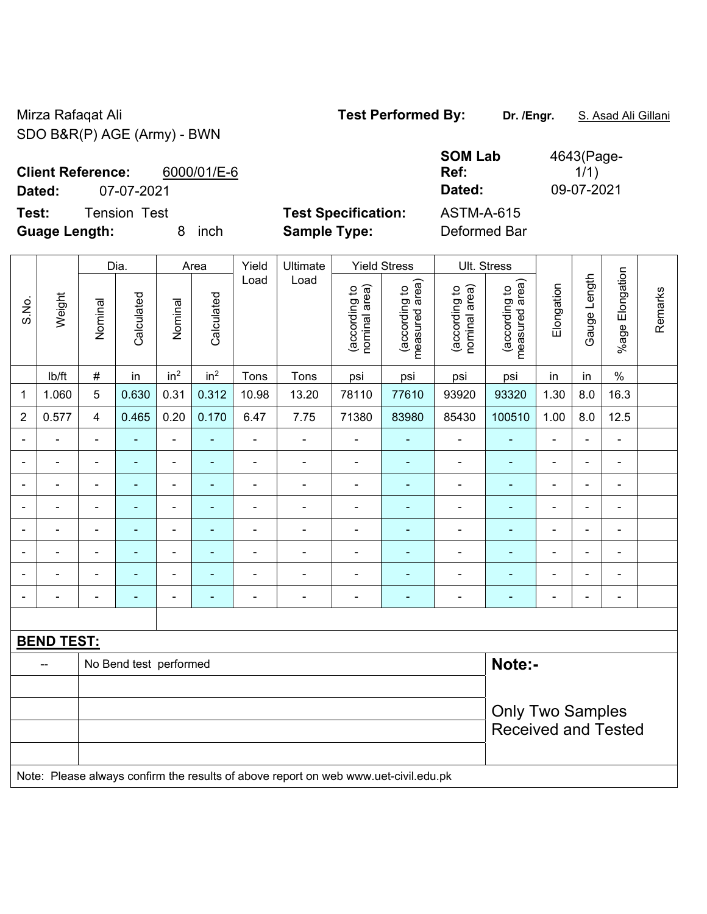Mirza Rafaqat Ali **Test Performed By:** Dr. /Engr. **S. Asad Ali Gillani** Ali Gillani SDO B&R(P) AGE (Army) - BWN

| <b>SOM Lab</b><br>Ref: | 4643(Page-<br>1/1) |
|------------------------|--------------------|
| Dated:                 | 09-07-2021         |
| ASTM-A-615             |                    |

**Client Reference:** 6000/01/E-6

**Dated:** 07-07-2021 **Dated:** 09-07-2021

**Test:** Tension Test **Test Specification: Guage Length:** 8 inch **Sample Type:** Deformed Bar

|                |                   |                            | Dia.                   |                          | Area                     | Yield          | Ultimate                                                                            |                                | <b>Yield Stress</b>             | Ult. Stress                    |                                 |                              |                |                              |         |
|----------------|-------------------|----------------------------|------------------------|--------------------------|--------------------------|----------------|-------------------------------------------------------------------------------------|--------------------------------|---------------------------------|--------------------------------|---------------------------------|------------------------------|----------------|------------------------------|---------|
| S.No.          | Weight            | Nominal                    | Calculated             | Nominal                  | Calculated               | Load           | Load                                                                                | nominal area)<br>(according to | (according to<br>measured area) | (according to<br>nominal area) | measured area)<br>(according to | Elongation                   | Gauge Length   | Elongation<br>$%$ age l      | Remarks |
|                | lb/ft             | $\#$                       | in                     | in <sup>2</sup>          | in <sup>2</sup>          | Tons           | Tons                                                                                | psi                            | psi                             | psi                            | psi                             | in                           | in             | $\%$                         |         |
| $\mathbf{1}$   | 1.060             | 5                          | 0.630                  | 0.31                     | 0.312                    | 10.98          | 13.20                                                                               | 78110                          | 77610                           | 93920                          | 93320                           | 1.30                         | 8.0            | 16.3                         |         |
| $\overline{2}$ | 0.577             | 4                          | 0.465                  | 0.20                     | 0.170                    | 6.47           | 7.75                                                                                | 71380                          | 83980                           | 85430                          | 100510                          | 1.00                         | 8.0            | 12.5                         |         |
|                |                   | $\blacksquare$             |                        | $\blacksquare$           |                          | $\blacksquare$ |                                                                                     | $\blacksquare$                 |                                 | $\blacksquare$                 | $\blacksquare$                  | ä,                           |                | $\blacksquare$               |         |
|                |                   | $\blacksquare$             | ۰                      | $\blacksquare$           | ÷,                       | $\blacksquare$ | ÷                                                                                   | $\blacksquare$                 | ٠                               | $\blacksquare$                 | $\blacksquare$                  | $\qquad \qquad \blacksquare$ | Ĭ.             | $\qquad \qquad \blacksquare$ |         |
|                |                   | $\blacksquare$             | $\blacksquare$         | $\overline{\phantom{a}}$ | $\blacksquare$           | $\blacksquare$ | $\blacksquare$                                                                      | $\blacksquare$                 | $\blacksquare$                  | $\overline{\phantom{a}}$       | $\blacksquare$                  | $\overline{\phantom{a}}$     | $\blacksquare$ | $\blacksquare$               |         |
|                | $\blacksquare$    | $\blacksquare$             | ٠                      | $\blacksquare$           | $\blacksquare$           | $\blacksquare$ |                                                                                     | $\blacksquare$                 | ÷                               | $\blacksquare$                 | $\blacksquare$                  | ÷                            |                | $\blacksquare$               |         |
|                |                   | $\blacksquare$             |                        | $\blacksquare$           | ÷                        | $\blacksquare$ |                                                                                     | $\blacksquare$                 | $\blacksquare$                  | $\blacksquare$                 | $\blacksquare$                  | ÷                            |                | $\blacksquare$               |         |
|                |                   | $\blacksquare$             |                        | $\blacksquare$           |                          | $\blacksquare$ |                                                                                     | $\blacksquare$                 | $\blacksquare$                  | ÷                              |                                 | -                            |                | $\overline{\phantom{a}}$     |         |
|                |                   | $\blacksquare$             |                        | $\blacksquare$           |                          | $\blacksquare$ |                                                                                     | $\blacksquare$                 | $\blacksquare$                  | ÷                              | $\blacksquare$                  | ÷,                           |                | $\blacksquare$               |         |
|                |                   | L                          |                        | $\blacksquare$           | $\overline{\phantom{a}}$ | ÷              | $\blacksquare$                                                                      | $\blacksquare$                 | $\blacksquare$                  | $\overline{\phantom{a}}$       | $\blacksquare$                  | ÷,                           |                | $\blacksquare$               |         |
|                |                   |                            |                        |                          |                          |                |                                                                                     |                                |                                 |                                |                                 |                              |                |                              |         |
|                | <b>BEND TEST:</b> |                            |                        |                          |                          |                |                                                                                     |                                |                                 |                                |                                 |                              |                |                              |         |
|                |                   |                            | No Bend test performed |                          |                          |                |                                                                                     |                                |                                 |                                | Note:-                          |                              |                |                              |         |
|                |                   |                            |                        |                          |                          |                |                                                                                     |                                |                                 |                                |                                 |                              |                |                              |         |
|                |                   | <b>Only Two Samples</b>    |                        |                          |                          |                |                                                                                     |                                |                                 |                                |                                 |                              |                |                              |         |
|                |                   | <b>Received and Tested</b> |                        |                          |                          |                |                                                                                     |                                |                                 |                                |                                 |                              |                |                              |         |
|                |                   |                            |                        |                          |                          |                |                                                                                     |                                |                                 |                                |                                 |                              |                |                              |         |
|                |                   |                            |                        |                          |                          |                | Note: Please always confirm the results of above report on web www.uet-civil.edu.pk |                                |                                 |                                |                                 |                              |                |                              |         |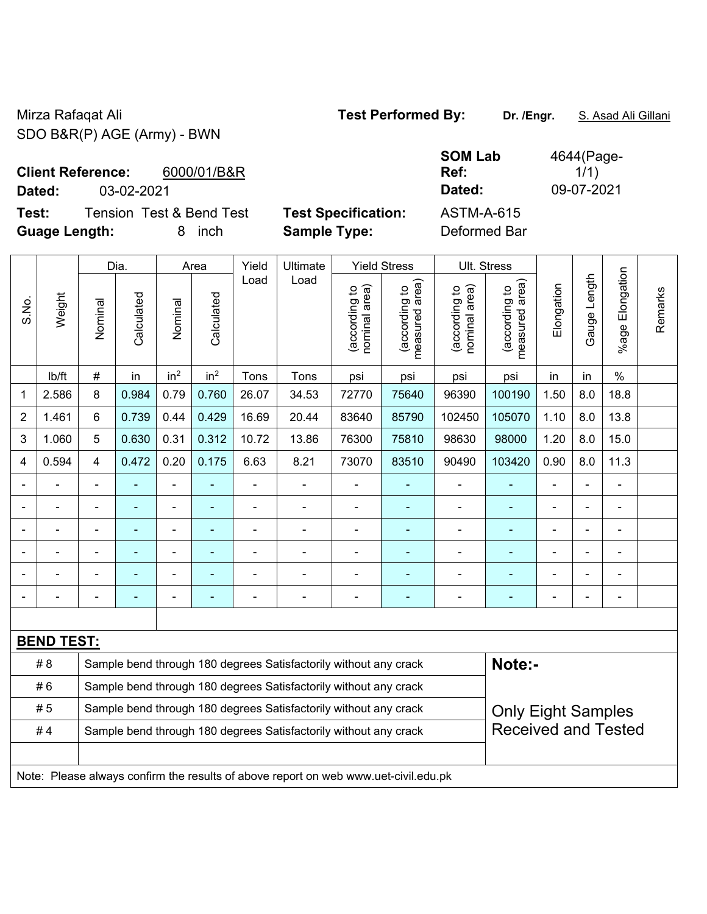Mirza Rafaqat Ali **Test Performed By:** Dr. /Engr. **S. Asad Ali Gillani** Ali Gillani SDO B&R(P) AGE (Army) - BWN

**Client Reference:** 6000/01/B&R

**Test:** Tension Test & Bend Test **Test Specification:** ASTM-A-615 **Guage Length:** 8 inch **Sample Type:** Deformed Bar

**SOM Lab Ref:**  4644(Page- $1/1)$ **Dated:** 03-02-2021 **Dated:** 09-07-2021

|                |                   |                                                                  | Dia.           |                 | Area            | Yield                    | Ultimate                                                                            |                                | <b>Yield Stress</b>             |                                | Ult. Stress                     |                |                |                          |         |
|----------------|-------------------|------------------------------------------------------------------|----------------|-----------------|-----------------|--------------------------|-------------------------------------------------------------------------------------|--------------------------------|---------------------------------|--------------------------------|---------------------------------|----------------|----------------|--------------------------|---------|
| S.No.          | Weight            | Nominal                                                          | Calculated     | Nominal         | Calculated      | Load                     | Load                                                                                | (according to<br>nominal area) | (according to<br>measured area) | (according to<br>nominal area) | (according to<br>measured area) | Elongation     | Gauge Length   | Elongation<br>$%$ age    | Remarks |
|                | lb/ft             | #                                                                | in             | in <sup>2</sup> | in <sup>2</sup> | Tons                     | Tons                                                                                | psi                            | psi                             | psi                            | psi                             | in             | in             | $\frac{0}{0}$            |         |
| $\mathbf{1}$   | 2.586             | 8                                                                | 0.984          | 0.79            | 0.760           | 26.07                    | 34.53                                                                               | 72770                          | 75640                           | 96390                          | 100190                          | 1.50           | 8.0            | 18.8                     |         |
| $\overline{2}$ | 1.461             | 6                                                                | 0.739          | 0.44            | 0.429           | 16.69                    | 20.44                                                                               | 83640                          | 85790                           | 102450                         | 105070                          | 1.10           | 8.0            | 13.8                     |         |
| 3              | 1.060             | 5                                                                | 0.630          | 0.31            | 0.312           | 10.72                    | 13.86                                                                               | 76300                          | 75810                           | 98630                          | 98000                           | 1.20           | 8.0            | 15.0                     |         |
| 4              | 0.594             | 4                                                                | 0.472          | 0.20            | 0.175           | 6.63                     | 8.21                                                                                | 73070                          | 83510                           | 90490                          | 103420                          | 0.90           | 8.0            | 11.3                     |         |
|                | $\blacksquare$    | $\blacksquare$                                                   |                | ÷,              | $\blacksquare$  | $\overline{\phantom{a}}$ | $\frac{1}{2}$                                                                       | $\blacksquare$                 | ÷                               | $\overline{a}$                 | $\blacksquare$                  | $\blacksquare$ | $\blacksquare$ | $\overline{\phantom{a}}$ |         |
|                | $\blacksquare$    | $\blacksquare$                                                   | $\blacksquare$ | $\blacksquare$  |                 | $\blacksquare$           | Ē,                                                                                  | ä,                             |                                 | $\blacksquare$                 | ä,                              | $\blacksquare$ |                | $\blacksquare$           |         |
|                | ä,                | $\blacksquare$                                                   | ÷,             | ÷               | ÷               | $\blacksquare$           | ÷.                                                                                  | $\blacksquare$                 | $\blacksquare$                  | ÷,                             | $\blacksquare$                  | $\blacksquare$ | ÷,             | ÷,                       |         |
|                |                   |                                                                  |                |                 |                 |                          | L.                                                                                  |                                |                                 |                                |                                 |                |                |                          |         |
|                |                   |                                                                  |                |                 |                 |                          |                                                                                     |                                |                                 |                                |                                 |                |                |                          |         |
| $\blacksquare$ |                   |                                                                  |                | $\blacksquare$  |                 |                          | ÷                                                                                   | $\blacksquare$                 | ۰                               | $\blacksquare$                 | ä,                              | $\blacksquare$ | $\blacksquare$ | $\blacksquare$           |         |
|                |                   |                                                                  |                |                 |                 |                          |                                                                                     |                                |                                 |                                |                                 |                |                |                          |         |
|                | <b>BEND TEST:</b> |                                                                  |                |                 |                 |                          |                                                                                     |                                |                                 |                                |                                 |                |                |                          |         |
|                | # 8               |                                                                  |                |                 |                 |                          | Sample bend through 180 degrees Satisfactorily without any crack                    |                                |                                 |                                | Note:-                          |                |                |                          |         |
|                | #6                | Sample bend through 180 degrees Satisfactorily without any crack |                |                 |                 |                          |                                                                                     |                                |                                 |                                |                                 |                |                |                          |         |
|                | #5                |                                                                  |                |                 |                 |                          | Sample bend through 180 degrees Satisfactorily without any crack                    |                                |                                 |                                | <b>Only Eight Samples</b>       |                |                |                          |         |
|                | #4                |                                                                  |                |                 |                 |                          | Sample bend through 180 degrees Satisfactorily without any crack                    |                                |                                 |                                | <b>Received and Tested</b>      |                |                |                          |         |
|                |                   |                                                                  |                |                 |                 |                          |                                                                                     |                                |                                 |                                |                                 |                |                |                          |         |
|                |                   |                                                                  |                |                 |                 |                          | Note: Please always confirm the results of above report on web www.uet-civil.edu.pk |                                |                                 |                                |                                 |                |                |                          |         |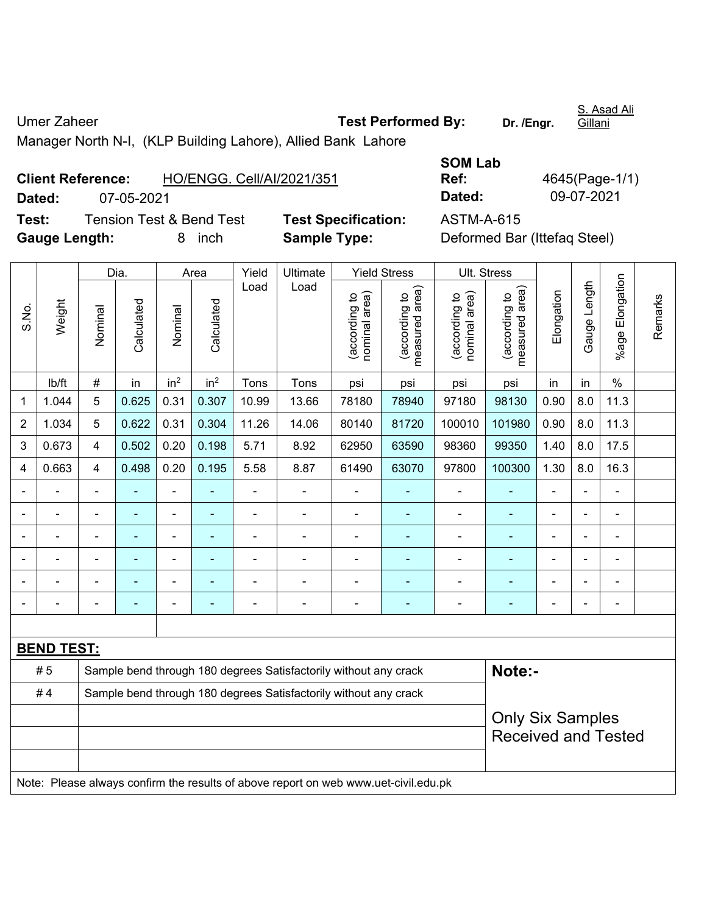Umer Zaheer **Test Performed By:** Dr. /Engr. Manager North N-I, (KLP Building Lahore), Allied Bank Lahore

**Client Reference:** HO/ENGG. Cell/AI/2021/351

**Test:** Tension Test & Bend Test **Test Specification:** ASTM-A-615 **Gauge Length:** 8 inch **Sample Type:** Deformed Bar (Ittefaq Steel)

**Ref:** 4645(Page-1/1)

**SOM Lab** 

|                |                   |                                                                  | Dia.       |                              | Area            | Yield          | Ultimate                                                                            |                               | <b>Yield Stress</b>             |                                | Ult. Stress                     |                |                |                           |         |
|----------------|-------------------|------------------------------------------------------------------|------------|------------------------------|-----------------|----------------|-------------------------------------------------------------------------------------|-------------------------------|---------------------------------|--------------------------------|---------------------------------|----------------|----------------|---------------------------|---------|
| S.No.          | Weight            | Nominal                                                          | Calculated | Nominal                      | Calculated      | Load           | Load                                                                                | nominal area)<br>according to | (according to<br>measured area) | nominal area)<br>(according to | (according to<br>measured area) | Elongation     | Gauge Length   | Elongation<br>$%$ age $ $ | Remarks |
|                | lb/ft             | $\#$                                                             | in         | in <sup>2</sup>              | in <sup>2</sup> | Tons           | Tons                                                                                | psi                           | psi                             | psi                            | psi                             | in             | in             | $\%$                      |         |
| 1              | 1.044             | 5                                                                | 0.625      | 0.31                         | 0.307           | 10.99          | 13.66                                                                               | 78180                         | 78940                           | 97180                          | 98130                           | 0.90           | 8.0            | 11.3                      |         |
| $\overline{2}$ | 1.034             | 5                                                                | 0.622      | 0.31                         | 0.304           | 11.26          | 14.06                                                                               | 80140                         | 81720                           | 100010                         | 101980                          | 0.90           | 8.0            | 11.3                      |         |
| 3              | 0.673             | $\overline{4}$                                                   | 0.502      | 0.20                         | 0.198           | 5.71           | 8.92                                                                                | 62950                         | 63590                           | 98360                          | 99350                           | 1.40           | 8.0            | 17.5                      |         |
| 4              | 0.663             | 4                                                                | 0.498      | 0.20                         | 0.195           | 5.58           | 8.87                                                                                | 61490                         | 63070                           | 97800                          | 100300                          | 1.30           | 8.0            | 16.3                      |         |
|                |                   | $\blacksquare$                                                   |            | ÷,                           |                 | $\blacksquare$ | $\blacksquare$                                                                      | $\blacksquare$                |                                 | $\blacksquare$                 | $\overline{\phantom{0}}$        |                | $\blacksquare$ | $\blacksquare$            |         |
|                |                   | $\blacksquare$                                                   | ۰          | $\overline{\phantom{0}}$     | ۰               | $\blacksquare$ | $\blacksquare$                                                                      | $\blacksquare$                | ٠                               | $\blacksquare$                 | $\blacksquare$                  | $\blacksquare$ | $\blacksquare$ | $\overline{\phantom{a}}$  |         |
|                | $\blacksquare$    | $\blacksquare$                                                   | ٠          | $\qquad \qquad \blacksquare$ | $\blacksquare$  | $\blacksquare$ | $\blacksquare$                                                                      | $\blacksquare$                | ٠                               | $\blacksquare$                 | $\blacksquare$                  | $\blacksquare$ |                | $\overline{\phantom{a}}$  |         |
|                |                   |                                                                  |            | ä,                           |                 |                | $\blacksquare$                                                                      |                               |                                 | L,                             |                                 |                |                | $\overline{a}$            |         |
|                |                   |                                                                  |            | -                            |                 |                |                                                                                     |                               |                                 |                                |                                 |                |                |                           |         |
|                |                   |                                                                  |            | -                            |                 |                | $\blacksquare$                                                                      | $\qquad \qquad \blacksquare$  | $\overline{a}$                  | $\blacksquare$                 | ۳                               |                |                | $\blacksquare$            |         |
|                |                   |                                                                  |            |                              |                 |                |                                                                                     |                               |                                 |                                |                                 |                |                |                           |         |
|                | <b>BEND TEST:</b> |                                                                  |            |                              |                 |                |                                                                                     |                               |                                 |                                |                                 |                |                |                           |         |
|                | # 5               |                                                                  |            |                              |                 |                | Sample bend through 180 degrees Satisfactorily without any crack                    |                               |                                 |                                | Note:-                          |                |                |                           |         |
|                | #4                | Sample bend through 180 degrees Satisfactorily without any crack |            |                              |                 |                |                                                                                     |                               |                                 |                                |                                 |                |                |                           |         |
|                |                   | <b>Only Six Samples</b>                                          |            |                              |                 |                |                                                                                     |                               |                                 |                                |                                 |                |                |                           |         |
|                |                   |                                                                  |            |                              |                 |                |                                                                                     |                               |                                 |                                | <b>Received and Tested</b>      |                |                |                           |         |
|                |                   |                                                                  |            |                              |                 |                |                                                                                     |                               |                                 |                                |                                 |                |                |                           |         |
|                |                   |                                                                  |            |                              |                 |                | Note: Please always confirm the results of above report on web www.uet-civil.edu.pk |                               |                                 |                                |                                 |                |                |                           |         |

**Dated:** 07-05-2021 **Dated:** 09-07-2021

**Gillani** 

S. Asad Ali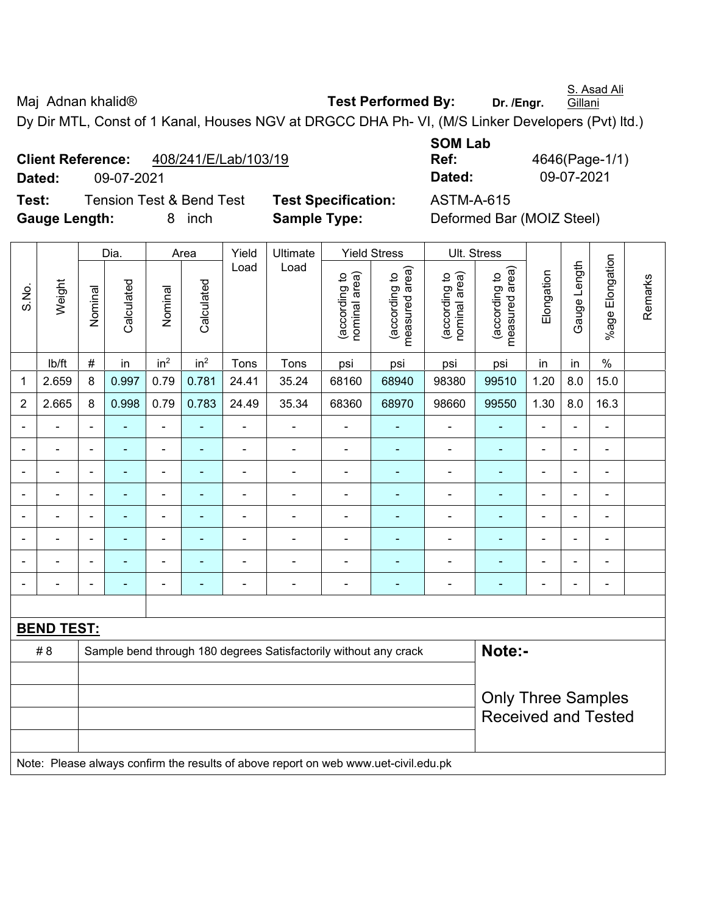S. Asad Ali **Gillani** 

# Maj Adnan khalid<sup>®</sup> **Test Performed By:** Dr. /Engr.

Dy Dir MTL, Const of 1 Kanal, Houses NGV at DRGCC DHA Ph- VI, (M/S Linker Developers (Pvt) ltd.)

# **Client Reference:** 408/241/E/Lab/103/19

**Dated:** 09-07-2021 **Dated:** 09-07-2021

**Test:** Tension Test & Bend Test **Test Specification:** ASTM-A-615 **Gauge Length:** 8 inch **Sample Type:** Deformed Bar (MOIZ Steel)

|                |                   |                | Dia.           |                 | Area            | Yield                    | Ultimate                                                                            |                                | <b>Yield Stress</b>             | Ult. Stress                    |                                 |                |                |                          |         |
|----------------|-------------------|----------------|----------------|-----------------|-----------------|--------------------------|-------------------------------------------------------------------------------------|--------------------------------|---------------------------------|--------------------------------|---------------------------------|----------------|----------------|--------------------------|---------|
| S.No.          | Weight            | Nominal        | Calculated     | Nominal         | Calculated      | Load                     | Load                                                                                | nominal area)<br>(according to | measured area)<br>(according to | nominal area)<br>(according to | measured area)<br>(according to | Elongation     | Gauge Length   | %age Elongation          | Remarks |
|                | lb/ft             | $\#$           | in             | in <sup>2</sup> | in <sup>2</sup> | Tons                     | Tons                                                                                | psi                            | psi                             | psi                            | psi                             | in             | in             | $\%$                     |         |
| 1              | 2.659             | 8              | 0.997          | 0.79            | 0.781           | 24.41                    | 35.24                                                                               | 68160                          | 68940                           | 98380                          | 99510                           | 1.20           | 8.0            | 15.0                     |         |
| $\overline{2}$ | 2.665             | 8              | 0.998          | 0.79            | 0.783           | 24.49                    | 35.34                                                                               | 68360                          | 68970                           | 98660                          | 99550                           | 1.30           | 8.0            | 16.3                     |         |
|                |                   | $\blacksquare$ |                | $\frac{1}{2}$   | $\blacksquare$  | ÷                        | ÷                                                                                   | $\overline{\phantom{a}}$       | $\blacksquare$                  | $\overline{\phantom{0}}$       | $\blacksquare$                  | ÷              | $\blacksquare$ |                          |         |
|                |                   |                |                |                 |                 |                          | $\blacksquare$                                                                      | $\blacksquare$                 | $\blacksquare$                  |                                | $\blacksquare$                  |                |                | $\blacksquare$           |         |
|                |                   | $\blacksquare$ | $\blacksquare$ | $\blacksquare$  | $\blacksquare$  |                          |                                                                                     | $\blacksquare$                 | ٠                               |                                | $\blacksquare$                  | $\blacksquare$ | $\blacksquare$ | $\overline{\phantom{0}}$ |         |
|                |                   | $\blacksquare$ | $\blacksquare$ | $\blacksquare$  | ۰               | $\overline{\phantom{0}}$ | $\overline{a}$                                                                      | $\overline{a}$                 | $\blacksquare$                  | $\blacksquare$                 | $\blacksquare$                  | $\blacksquare$ | ÷              |                          |         |
| $\blacksquare$ |                   | $\blacksquare$ | $\blacksquare$ | $\blacksquare$  | ٠               | $\blacksquare$           | $\blacksquare$                                                                      | $\blacksquare$                 | $\blacksquare$                  | $\blacksquare$                 | $\blacksquare$                  | $\blacksquare$ | $\blacksquare$ | ä,                       |         |
|                |                   | $\blacksquare$ | $\blacksquare$ | $\frac{1}{2}$   | ٠               | $\overline{\phantom{0}}$ | ÷                                                                                   | $\blacksquare$                 | $\blacksquare$                  | $\blacksquare$                 | ÷,                              | $\blacksquare$ | $\blacksquare$ |                          |         |
|                |                   |                |                | $\overline{a}$  |                 |                          | $\blacksquare$                                                                      | $\blacksquare$                 | $\blacksquare$                  |                                | $\blacksquare$                  |                |                | $\blacksquare$           |         |
| $\blacksquare$ |                   | $\blacksquare$ | $\blacksquare$ | $\blacksquare$  | $\blacksquare$  | $\overline{\phantom{0}}$ | $\blacksquare$                                                                      | $\blacksquare$                 | ٠                               | $\blacksquare$                 | $\blacksquare$                  | $\blacksquare$ | $\blacksquare$ | ä,                       |         |
|                |                   |                |                |                 |                 |                          |                                                                                     |                                |                                 |                                |                                 |                |                |                          |         |
|                | <b>BEND TEST:</b> |                |                |                 |                 |                          |                                                                                     |                                |                                 |                                |                                 |                |                |                          |         |
|                | # 8               |                |                |                 |                 |                          | Sample bend through 180 degrees Satisfactorily without any crack                    |                                |                                 |                                | Note:-                          |                |                |                          |         |
|                |                   |                |                |                 |                 |                          |                                                                                     |                                |                                 |                                |                                 |                |                |                          |         |
|                |                   |                |                |                 |                 |                          |                                                                                     |                                |                                 |                                | <b>Only Three Samples</b>       |                |                |                          |         |
|                |                   |                |                |                 |                 |                          |                                                                                     |                                |                                 |                                | <b>Received and Tested</b>      |                |                |                          |         |
|                |                   |                |                |                 |                 |                          |                                                                                     |                                |                                 |                                |                                 |                |                |                          |         |
|                |                   |                |                |                 |                 |                          | Note: Please always confirm the results of above report on web www.uet-civil.edu.pk |                                |                                 |                                |                                 |                |                |                          |         |

**SOM Lab** 

**Ref:** 4646(Page-1/1)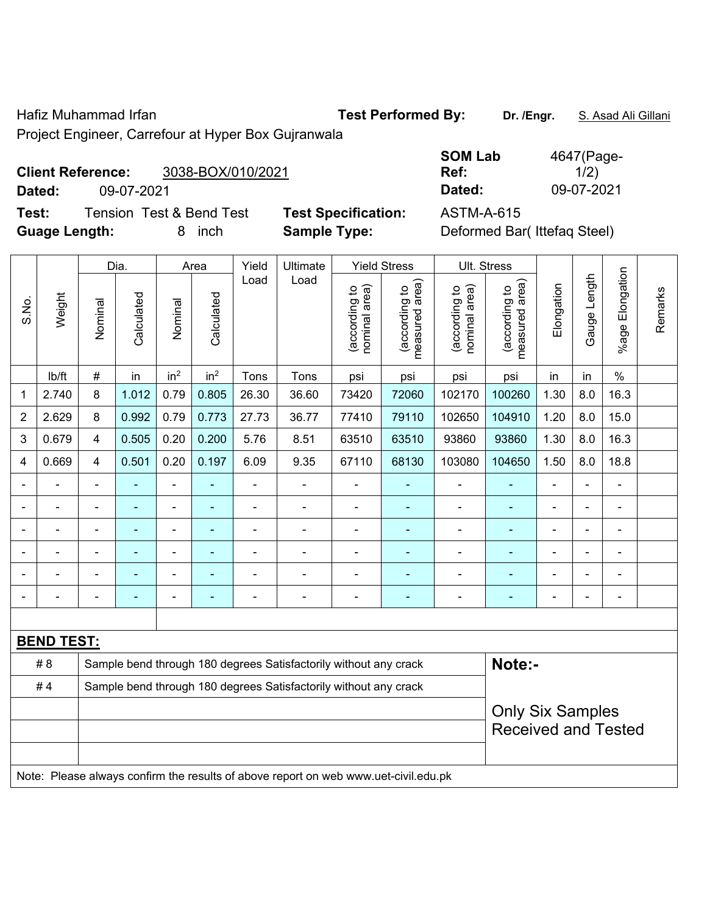Hafiz Muhammad Irfan **Test Performed By:** Dr. /Engr. S. Asad Ali Gillani

Project Engineer, Carrefour at Hyper Box Gujranwala

### **Client Reference:** 3038-BOX/010/2021

**Test:** Tension Test & Bend Test **Test Specification:** ASTM-A-615 **Guage Length:** 8 inch **Sample Type:** Deformed Bar( Ittefaq Steel)

**SOM Lab Ref:**  4647(Page- $1/2)$ **Dated:** 09-07-2021 **Dated:** 09-07-2021

|                                                                        | Weight            |                | Dia.    |                 | Area                                                                                |                | Ultimate                                                         | <b>Yield Stress</b>                                   |                                | Ult. Stress                     |                                |                                 |                |                |                       |         |
|------------------------------------------------------------------------|-------------------|----------------|---------|-----------------|-------------------------------------------------------------------------------------|----------------|------------------------------------------------------------------|-------------------------------------------------------|--------------------------------|---------------------------------|--------------------------------|---------------------------------|----------------|----------------|-----------------------|---------|
| S.No.                                                                  |                   |                | Nominal | Calculated      | Nominal                                                                             | Calculated     | Load                                                             | Load                                                  | nominal area)<br>(according to | (according to<br>measured area) | (according to<br>nominal area) | (according to<br>measured area) | Elongation     | Gauge Length   | Elongation<br>$%$ age | Remarks |
|                                                                        | lb/ft             | $\#$           | in      | in <sup>2</sup> | in <sup>2</sup>                                                                     | Tons           | Tons                                                             | psi                                                   | psi                            | psi                             | psi                            | in                              | in             | $\frac{0}{0}$  |                       |         |
| 1                                                                      | 2.740             | 8              | 1.012   | 0.79            | 0.805                                                                               | 26.30          | 36.60                                                            | 73420                                                 | 72060                          | 102170                          | 100260                         | 1.30                            | 8.0            | 16.3           |                       |         |
| $\overline{2}$                                                         | 2.629             | 8              | 0.992   | 0.79            | 0.773                                                                               | 27.73          | 36.77                                                            | 77410                                                 | 79110                          | 102650                          | 104910                         | 1.20                            | 8.0            | 15.0           |                       |         |
| 3                                                                      | 0.679             | $\overline{4}$ | 0.505   | 0.20            | 0.200                                                                               | 5.76           | 8.51                                                             | 63510                                                 | 63510                          | 93860                           | 93860                          | 1.30                            | 8.0            | 16.3           |                       |         |
| 4                                                                      | 0.669             | 4              | 0.501   | 0.20            | 0.197                                                                               | 6.09           | 9.35                                                             | 67110                                                 | 68130                          | 103080                          | 104650                         | 1.50                            | 8.0            | 18.8           |                       |         |
|                                                                        | ÷,                | $\blacksquare$ | ä,      | ÷               |                                                                                     | $\blacksquare$ | $\blacksquare$                                                   | $\blacksquare$                                        | $\blacksquare$                 | $\frac{1}{2}$                   | $\blacksquare$                 | $\blacksquare$                  | $\blacksquare$ | $\blacksquare$ |                       |         |
|                                                                        | ÷,                | ä,             | ÷,      | ÷               |                                                                                     | $\blacksquare$ | $\blacksquare$                                                   | $\overline{a}$                                        |                                | $\overline{\phantom{a}}$        | ÷                              | $\blacksquare$                  |                | $\blacksquare$ |                       |         |
|                                                                        | $\blacksquare$    | $\blacksquare$ | ÷,      | ä,              |                                                                                     | $\blacksquare$ | $\blacksquare$                                                   | L,                                                    | ÷,                             | $\blacksquare$                  | $\blacksquare$                 | $\blacksquare$                  |                | $\blacksquare$ |                       |         |
|                                                                        |                   |                |         | ٠               |                                                                                     |                |                                                                  |                                                       |                                | $\blacksquare$                  | $\blacksquare$                 |                                 |                |                |                       |         |
|                                                                        |                   |                |         | ۰               |                                                                                     |                |                                                                  | $\blacksquare$                                        |                                | $\blacksquare$                  | Ē.                             |                                 |                | $\blacksquare$ |                       |         |
|                                                                        |                   |                |         | $\blacksquare$  |                                                                                     |                | ÷                                                                | ä,                                                    | $\blacksquare$                 | -                               | ÷                              |                                 |                | $\blacksquare$ |                       |         |
|                                                                        |                   |                |         |                 |                                                                                     |                |                                                                  |                                                       |                                |                                 |                                |                                 |                |                |                       |         |
|                                                                        | <b>BEND TEST:</b> |                |         |                 |                                                                                     |                |                                                                  |                                                       |                                |                                 |                                |                                 |                |                |                       |         |
|                                                                        | # 8               |                |         |                 |                                                                                     |                | Sample bend through 180 degrees Satisfactorily without any crack |                                                       | Note:-                         |                                 |                                |                                 |                |                |                       |         |
| #4<br>Sample bend through 180 degrees Satisfactorily without any crack |                   |                |         |                 |                                                                                     |                |                                                                  |                                                       |                                |                                 |                                |                                 |                |                |                       |         |
|                                                                        |                   |                |         |                 |                                                                                     |                |                                                                  | <b>Only Six Samples</b><br><b>Received and Tested</b> |                                |                                 |                                |                                 |                |                |                       |         |
|                                                                        |                   |                |         |                 |                                                                                     |                |                                                                  |                                                       |                                |                                 |                                |                                 |                |                |                       |         |
|                                                                        |                   |                |         |                 | Note: Please always confirm the results of above report on web www.uet-civil.edu.pk |                |                                                                  |                                                       |                                |                                 |                                |                                 |                |                |                       |         |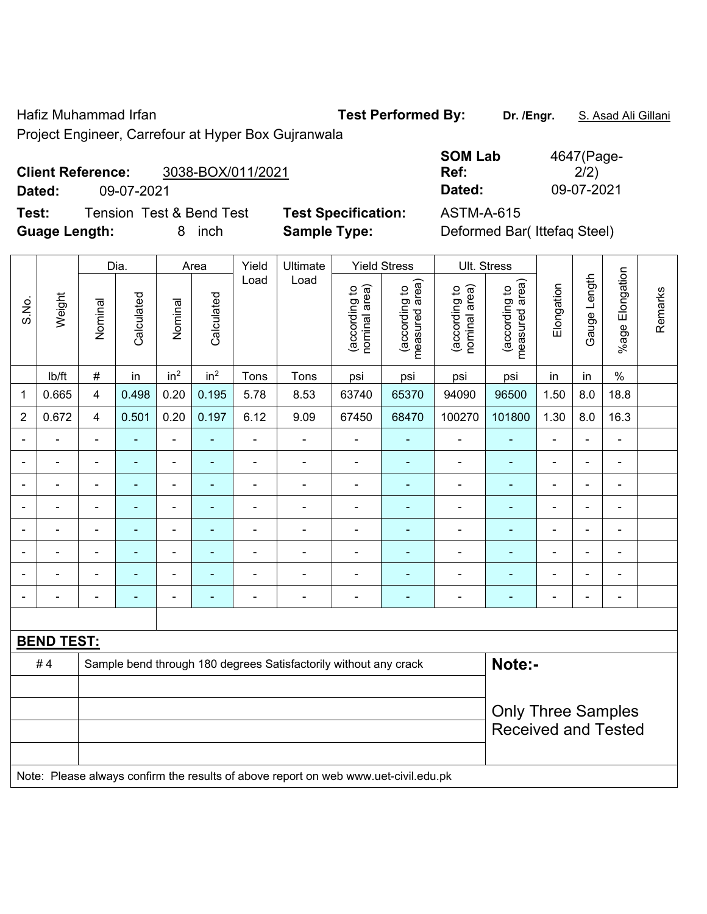Hafiz Muhammad Irfan **Test Performed By:** Dr. /Engr. S. Asad Ali Gillani

Project Engineer, Carrefour at Hyper Box Gujranwala

# **Client Reference:** 3038-BOX/011/2021

**Dated:** 09-07-2021 **Dated:** 09-07-2021

**Test:** Tension Test & Bend Test **Test Specification:** ASTM-A-615 **Guage Length:** 8 inch **Sample Type:** Deformed Bar( Ittefaq Steel)

| <b>SOM Lab</b> | 4647(Page- |
|----------------|------------|
| Ref:           | 2/2)       |
| Dated:         | 09-07-2021 |

|                          | Weight            |                                                                                     | Dia.<br>Area |                 | Yield           | Ultimate       |                                                                  | <b>Yield Stress</b> | Ult. Stress              |                                |                                 |                                |                                 |                          |              |                 |
|--------------------------|-------------------|-------------------------------------------------------------------------------------|--------------|-----------------|-----------------|----------------|------------------------------------------------------------------|---------------------|--------------------------|--------------------------------|---------------------------------|--------------------------------|---------------------------------|--------------------------|--------------|-----------------|
| S.No.                    |                   |                                                                                     |              | Nominal         | Calculated      | Nominal        | Calculated                                                       | Load                | Load                     | (according to<br>nominal area) | (according to<br>measured area) | (according to<br>nominal area) | (according to<br>measured area) | Elongation               | Gauge Length | %age Elongation |
|                          | lb/ft             | $\#$                                                                                | in           | in <sup>2</sup> | in <sup>2</sup> | Tons           | Tons                                                             | psi                 | psi                      | psi                            | psi                             | in                             | in                              | $\frac{0}{0}$            |              |                 |
| 1                        | 0.665             | $\overline{\mathbf{4}}$                                                             | 0.498        | 0.20            | 0.195           | 5.78           | 8.53                                                             | 63740               | 65370                    | 94090                          | 96500                           | 1.50                           | 8.0                             | 18.8                     |              |                 |
| $\overline{2}$           | 0.672             | $\overline{\mathbf{4}}$                                                             | 0.501        | 0.20            | 0.197           | 6.12           | 9.09                                                             | 67450               | 68470                    | 100270                         | 101800                          | 1.30                           | $8.0\,$                         | 16.3                     |              |                 |
|                          | L,                |                                                                                     |              | ä,              |                 | $\blacksquare$ | $\frac{1}{2}$                                                    |                     |                          | $\blacksquare$                 |                                 | $\blacksquare$                 | $\blacksquare$                  | $\blacksquare$           |              |                 |
| $\blacksquare$           | $\blacksquare$    | $\blacksquare$                                                                      | ä,           | ÷,              | ÷               | $\blacksquare$ | $\frac{1}{2}$                                                    | $\blacksquare$      | $\blacksquare$           | $\blacksquare$                 | $\blacksquare$                  | $\blacksquare$                 | $\blacksquare$                  | $\overline{\phantom{a}}$ |              |                 |
| $\overline{\phantom{0}}$ | $\blacksquare$    | $\blacksquare$                                                                      | ۰            | ÷               | $\blacksquare$  | $\blacksquare$ | $\frac{1}{2}$                                                    | $\blacksquare$      | $\overline{\phantom{0}}$ | $\overline{\phantom{a}}$       | $\blacksquare$                  | $\blacksquare$                 | $\blacksquare$                  | $\overline{\phantom{a}}$ |              |                 |
|                          | ÷                 | $\blacksquare$                                                                      | ÷            | $\blacksquare$  | ÷               | $\blacksquare$ | ÷.                                                               | $\blacksquare$      | $\blacksquare$           | $\blacksquare$                 | ٠                               | L,                             | $\blacksquare$                  | $\blacksquare$           |              |                 |
|                          | ä,                | $\blacksquare$                                                                      | L,           | $\blacksquare$  | ۰               | ä,             | ÷,                                                               | $\blacksquare$      | ÷,                       | $\blacksquare$                 | ÷,                              | $\blacksquare$                 | $\blacksquare$                  | $\blacksquare$           |              |                 |
|                          |                   |                                                                                     |              | $\overline{a}$  |                 |                |                                                                  |                     |                          |                                |                                 |                                |                                 | $\blacksquare$           |              |                 |
|                          |                   |                                                                                     |              | ÷               |                 | $\blacksquare$ | $\overline{a}$                                                   |                     |                          |                                |                                 |                                |                                 | $\blacksquare$           |              |                 |
| $\blacksquare$           | $\overline{a}$    | $\blacksquare$                                                                      | ۰            | ÷               | ÷               | $\blacksquare$ | $\overline{\phantom{a}}$                                         | $\blacksquare$      | $\overline{\phantom{0}}$ | $\blacksquare$                 | ۰                               | Ē,                             | $\blacksquare$                  | $\blacksquare$           |              |                 |
|                          |                   |                                                                                     |              |                 |                 |                |                                                                  |                     |                          |                                |                                 |                                |                                 |                          |              |                 |
|                          | <b>BEND TEST:</b> |                                                                                     |              |                 |                 |                |                                                                  |                     |                          |                                |                                 |                                |                                 |                          |              |                 |
|                          | #4                |                                                                                     |              |                 |                 |                | Sample bend through 180 degrees Satisfactorily without any crack |                     |                          |                                | Note:-                          |                                |                                 |                          |              |                 |
|                          |                   |                                                                                     |              |                 |                 |                |                                                                  |                     |                          |                                |                                 |                                |                                 |                          |              |                 |
|                          |                   |                                                                                     |              |                 |                 |                |                                                                  |                     |                          |                                | <b>Only Three Samples</b>       |                                |                                 |                          |              |                 |
|                          |                   |                                                                                     |              |                 |                 |                |                                                                  |                     |                          |                                | <b>Received and Tested</b>      |                                |                                 |                          |              |                 |
|                          |                   | Note: Please always confirm the results of above report on web www.uet-civil.edu.pk |              |                 |                 |                |                                                                  |                     |                          |                                |                                 |                                |                                 |                          |              |                 |